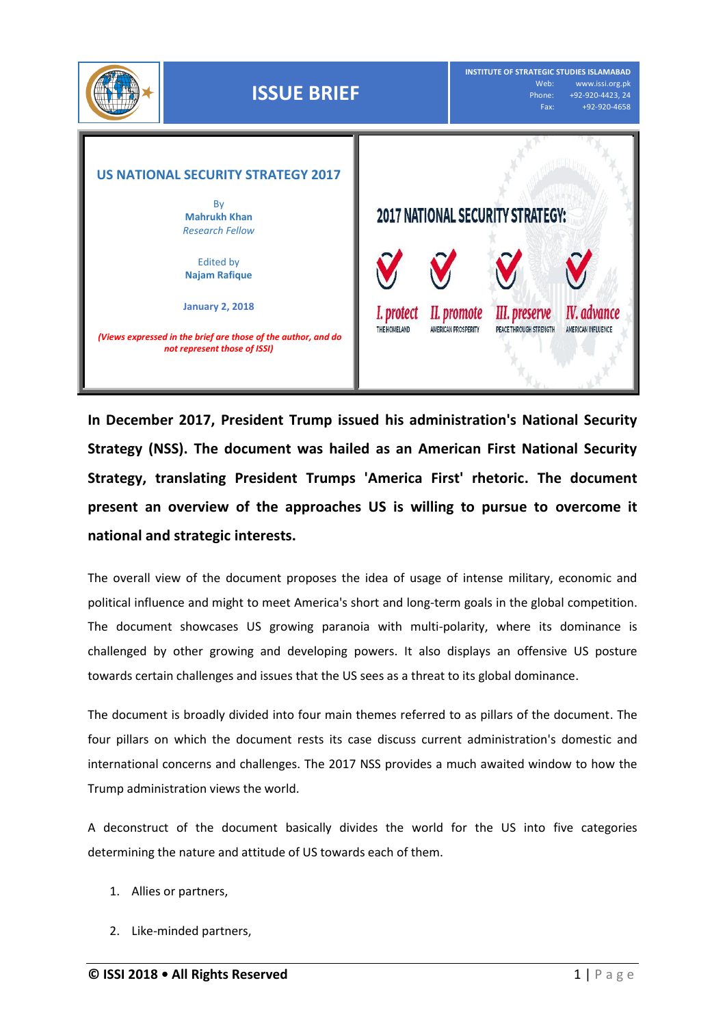

**In December 2017, President Trump issued his administration's National Security Strategy (NSS). The document was hailed as an American First National Security Strategy, translating President Trumps 'America First' rhetoric. The document present an overview of the approaches US is willing to pursue to overcome it national and strategic interests.**

The overall view of the document proposes the idea of usage of intense military, economic and political influence and might to meet America's short and long-term goals in the global competition. The document showcases US growing paranoia with multi-polarity, where its dominance is challenged by other growing and developing powers. It also displays an offensive US posture towards certain challenges and issues that the US sees as a threat to its global dominance.

The document is broadly divided into four main themes referred to as pillars of the document. The four pillars on which the document rests its case discuss current administration's domestic and international concerns and challenges. The 2017 NSS provides a much awaited window to how the Trump administration views the world.

A deconstruct of the document basically divides the world for the US into five categories determining the nature and attitude of US towards each of them.

- 1. Allies or partners,
- 2. Like-minded partners,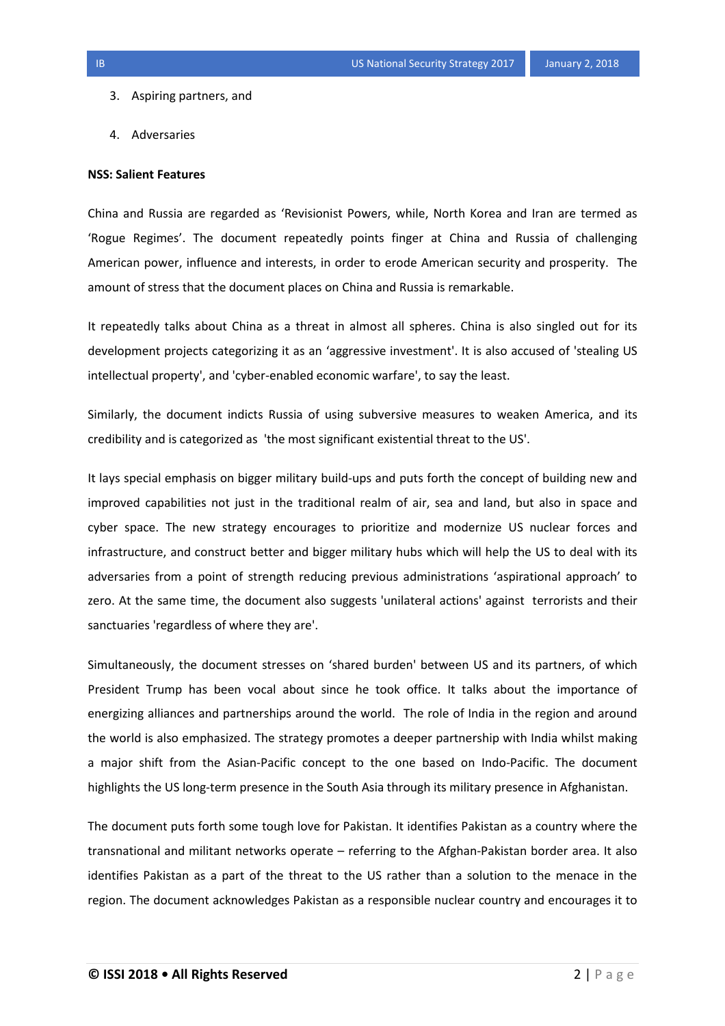- 3. Aspiring partners, and
- 4. Adversaries

## **NSS: Salient Features**

China and Russia are regarded as 'Revisionist Powers, while, North Korea and Iran are termed as 'Rogue Regimes'. The document repeatedly points finger at China and Russia of challenging American power, influence and interests, in order to erode American security and prosperity. The amount of stress that the document places on China and Russia is remarkable.

It repeatedly talks about China as a threat in almost all spheres. China is also singled out for its development projects categorizing it as an 'aggressive investment'. It is also accused of 'stealing US intellectual property', and 'cyber-enabled economic warfare', to say the least.

Similarly, the document indicts Russia of using subversive measures to weaken America, and its credibility and is categorized as 'the most significant existential threat to the US'.

It lays special emphasis on bigger military build-ups and puts forth the concept of building new and improved capabilities not just in the traditional realm of air, sea and land, but also in space and cyber space. The new strategy encourages to prioritize and modernize US nuclear forces and infrastructure, and construct better and bigger military hubs which will help the US to deal with its adversaries from a point of strength reducing previous administrations 'aspirational approach' to zero. At the same time, the document also suggests 'unilateral actions' against terrorists and their sanctuaries 'regardless of where they are'.

Simultaneously, the document stresses on 'shared burden' between US and its partners, of which President Trump has been vocal about since he took office. It talks about the importance of energizing alliances and partnerships around the world. The role of India in the region and around the world is also emphasized. The strategy promotes a deeper partnership with India whilst making a major shift from the Asian-Pacific concept to the one based on Indo-Pacific. The document highlights the US long-term presence in the South Asia through its military presence in Afghanistan.

The document puts forth some tough love for Pakistan. It identifies Pakistan as a country where the transnational and militant networks operate – referring to the Afghan-Pakistan border area. It also identifies Pakistan as a part of the threat to the US rather than a solution to the menace in the region. The document acknowledges Pakistan as a responsible nuclear country and encourages it to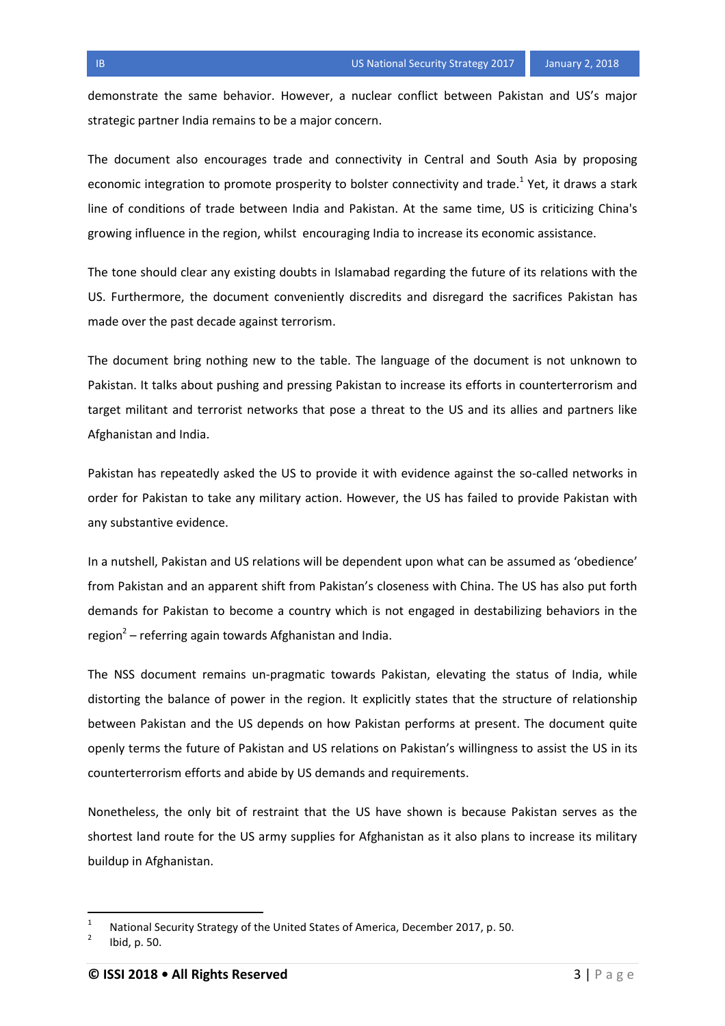demonstrate the same behavior. However, a nuclear conflict between Pakistan and US's major strategic partner India remains to be a major concern.

The document also encourages trade and connectivity in Central and South Asia by proposing economic integration to promote prosperity to bolster connectivity and trade.<sup>1</sup> Yet, it draws a stark line of conditions of trade between India and Pakistan. At the same time, US is criticizing China's growing influence in the region, whilst encouraging India to increase its economic assistance.

The tone should clear any existing doubts in Islamabad regarding the future of its relations with the US. Furthermore, the document conveniently discredits and disregard the sacrifices Pakistan has made over the past decade against terrorism.

The document bring nothing new to the table. The language of the document is not unknown to Pakistan. It talks about pushing and pressing Pakistan to increase its efforts in counterterrorism and target militant and terrorist networks that pose a threat to the US and its allies and partners like Afghanistan and India.

Pakistan has repeatedly asked the US to provide it with evidence against the so-called networks in order for Pakistan to take any military action. However, the US has failed to provide Pakistan with any substantive evidence.

In a nutshell, Pakistan and US relations will be dependent upon what can be assumed as 'obedience' from Pakistan and an apparent shift from Pakistan's closeness with China. The US has also put forth demands for Pakistan to become a country which is not engaged in destabilizing behaviors in the region<sup>2</sup> – referring again towards Afghanistan and India.

The NSS document remains un-pragmatic towards Pakistan, elevating the status of India, while distorting the balance of power in the region. It explicitly states that the structure of relationship between Pakistan and the US depends on how Pakistan performs at present. The document quite openly terms the future of Pakistan and US relations on Pakistan's willingness to assist the US in its counterterrorism efforts and abide by US demands and requirements.

Nonetheless, the only bit of restraint that the US have shown is because Pakistan serves as the shortest land route for the US army supplies for Afghanistan as it also plans to increase its military buildup in Afghanistan.

 $\overline{a}$ 

<sup>1</sup> National Security Strategy of the United States of America, December 2017, p. 50.

<sup>2</sup> Ibid, p. 50.